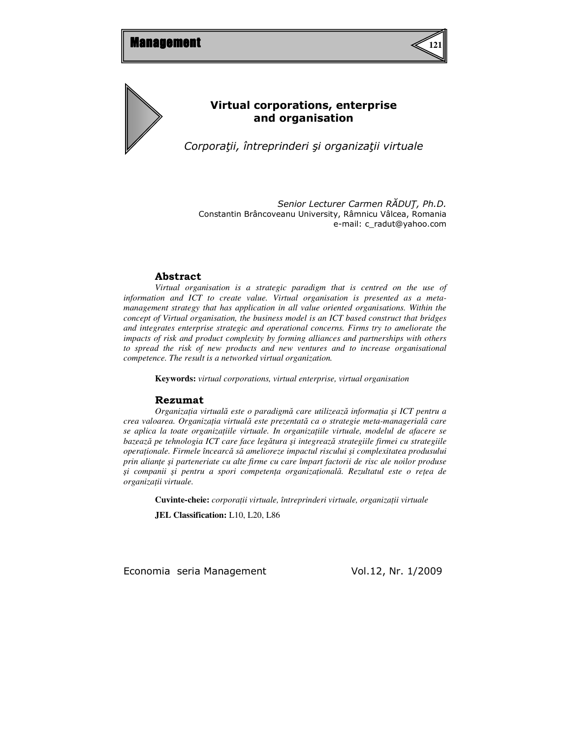



# Virtual corporations, enterprise and organisation

Corporaţii, întreprinderi şi organizaţii virtuale

Senior Lecturer Carmen RĂDUŢ, Ph.D. Constantin Brâncoveanu University, Râmnicu Vâlcea, Romania e-mail: c\_radut@yahoo.com

## Abstract

*Virtual organisation is a strategic paradigm that is centred on the use of information and ICT to create value. Virtual organisation is presented as a metamanagement strategy that has application in all value oriented organisations. Within the concept of Virtual organisation, the business model is an ICT based construct that bridges and integrates enterprise strategic and operational concerns. Firms try to ameliorate the impacts of risk and product complexity by forming alliances and partnerships with others to spread the risk of new products and new ventures and to increase organisational competence. The result is a networked virtual organization.*

**Keywords:** *virtual corporations, virtual enterprise, virtual organisation* 

#### Rezumat

*Organiza*ţ*ia virtual*ă *este o paradigm*ă *care utilizeaz*ă *informa*ţ*ia* ş*i ICT pentru a crea valoarea. Organiza*ţ*ia virtual*ă *este prezentat*ă *ca o strategie meta-managerial*ă *care se aplica la toate organiza*ţ*iile virtuale. In organiza*ţ*iile virtuale, modelul de afacere se bazeaz*ă *pe tehnologia ICT care face leg*ă*tura* ş*i integreaz*ă *strategiile firmei cu strategiile opera*ţ*ionale. Firmele încearc*ă *s*ă *amelioreze impactul riscului* ş*i complexitatea produsului prin alian*ţ*e* ş*i parteneriate cu alte firme cu care împart factorii de risc ale noilor produse*  ş*i companii* ş*i pentru a spori competen*ţ*a organiza*ţ*ional*ă*. Rezultatul este o re*ţ*ea de organiza*ţ*ii virtuale.* 

**Cuvinte-cheie:** *corpora*ţ*ii virtuale, întreprinderi virtuale, organiza*ţ*ii virtuale* 

**JEL Classification:** L10, L20, L86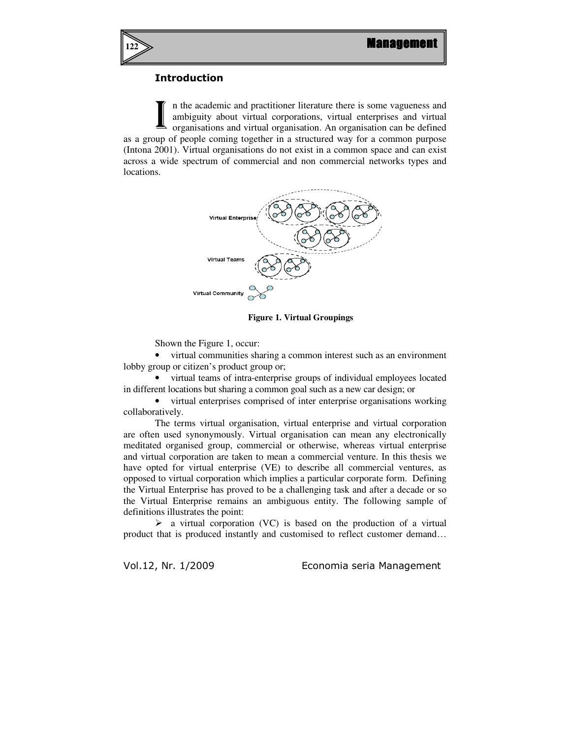

## Introduction

n the academic and practitioner literature there is some vagueness and ambiguity about virtual corporations, virtual enterprises and virtual organisations and virtual organisation. An organisation can be defined as a group of people coming together in a structured way for a common purpose (Intona 2001). Virtual organisations do not exist in a common space and can exist across a wide spectrum of commercial and non commercial networks types and locations. I



**Figure 1. Virtual Groupings**

Shown the Figure 1, occur:

• virtual communities sharing a common interest such as an environment lobby group or citizen's product group or;

• virtual teams of intra-enterprise groups of individual employees located in different locations but sharing a common goal such as a new car design; or

• virtual enterprises comprised of inter enterprise organisations working collaboratively.

The terms virtual organisation, virtual enterprise and virtual corporation are often used synonymously. Virtual organisation can mean any electronically meditated organised group, commercial or otherwise, whereas virtual enterprise and virtual corporation are taken to mean a commercial venture. In this thesis we have opted for virtual enterprise (VE) to describe all commercial ventures, as opposed to virtual corporation which implies a particular corporate form. Defining the Virtual Enterprise has proved to be a challenging task and after a decade or so the Virtual Enterprise remains an ambiguous entity. The following sample of definitions illustrates the point:

 $\triangleright$  a virtual corporation (VC) is based on the production of a virtual product that is produced instantly and customised to reflect customer demand…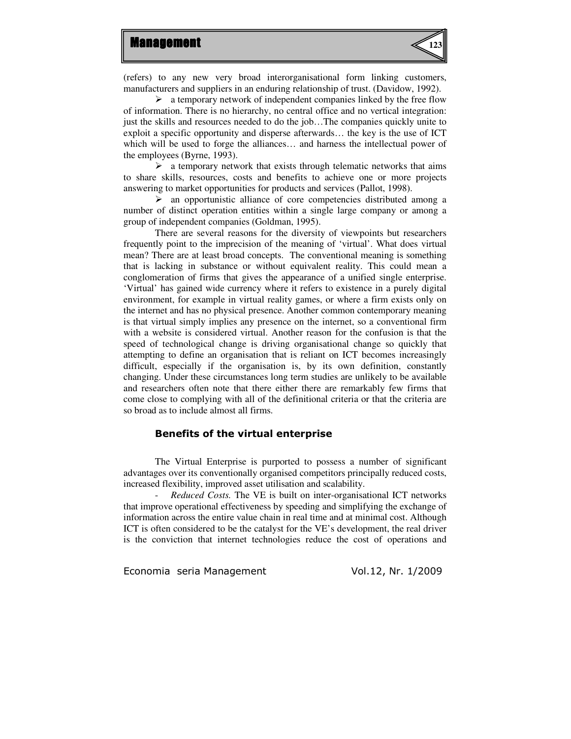

(refers) to any new very broad interorganisational form linking customers, manufacturers and suppliers in an enduring relationship of trust. (Davidow, 1992).

 $\triangleright$  a temporary network of independent companies linked by the free flow of information. There is no hierarchy, no central office and no vertical integration: just the skills and resources needed to do the job…The companies quickly unite to exploit a specific opportunity and disperse afterwards… the key is the use of ICT which will be used to forge the alliances… and harness the intellectual power of the employees (Byrne, 1993).

 $\triangleright$  a temporary network that exists through telematic networks that aims to share skills, resources, costs and benefits to achieve one or more projects answering to market opportunities for products and services (Pallot, 1998).

 $\triangleright$  an opportunistic alliance of core competencies distributed among a number of distinct operation entities within a single large company or among a group of independent companies (Goldman, 1995).

There are several reasons for the diversity of viewpoints but researchers frequently point to the imprecision of the meaning of 'virtual'. What does virtual mean? There are at least broad concepts. The conventional meaning is something that is lacking in substance or without equivalent reality. This could mean a conglomeration of firms that gives the appearance of a unified single enterprise. 'Virtual' has gained wide currency where it refers to existence in a purely digital environment, for example in virtual reality games, or where a firm exists only on the internet and has no physical presence. Another common contemporary meaning is that virtual simply implies any presence on the internet, so a conventional firm with a website is considered virtual. Another reason for the confusion is that the speed of technological change is driving organisational change so quickly that attempting to define an organisation that is reliant on ICT becomes increasingly difficult, especially if the organisation is, by its own definition, constantly changing. Under these circumstances long term studies are unlikely to be available and researchers often note that there either there are remarkably few firms that come close to complying with all of the definitional criteria or that the criteria are so broad as to include almost all firms.

#### Benefits of the virtual enterprise

The Virtual Enterprise is purported to possess a number of significant advantages over its conventionally organised competitors principally reduced costs, increased flexibility, improved asset utilisation and scalability.

- *Reduced Costs.* The VE is built on inter-organisational ICT networks that improve operational effectiveness by speeding and simplifying the exchange of information across the entire value chain in real time and at minimal cost. Although ICT is often considered to be the catalyst for the VE's development, the real driver is the conviction that internet technologies reduce the cost of operations and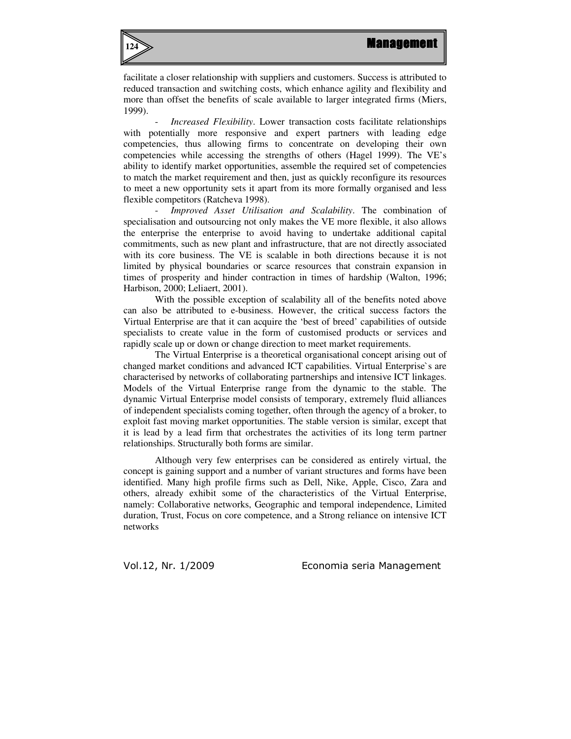

facilitate a closer relationship with suppliers and customers. Success is attributed to reduced transaction and switching costs, which enhance agility and flexibility and more than offset the benefits of scale available to larger integrated firms (Miers, 1999).

Increased Flexibility. Lower transaction costs facilitate relationships with potentially more responsive and expert partners with leading edge competencies, thus allowing firms to concentrate on developing their own competencies while accessing the strengths of others (Hagel 1999). The VE's ability to identify market opportunities, assemble the required set of competencies to match the market requirement and then, just as quickly reconfigure its resources to meet a new opportunity sets it apart from its more formally organised and less flexible competitors (Ratcheva 1998).

- *Improved Asset Utilisation and Scalability*. The combination of specialisation and outsourcing not only makes the VE more flexible, it also allows the enterprise the enterprise to avoid having to undertake additional capital commitments, such as new plant and infrastructure, that are not directly associated with its core business. The VE is scalable in both directions because it is not limited by physical boundaries or scarce resources that constrain expansion in times of prosperity and hinder contraction in times of hardship (Walton, 1996; Harbison, 2000; Leliaert, 2001).

With the possible exception of scalability all of the benefits noted above can also be attributed to e-business. However, the critical success factors the Virtual Enterprise are that it can acquire the 'best of breed' capabilities of outside specialists to create value in the form of customised products or services and rapidly scale up or down or change direction to meet market requirements.

The Virtual Enterprise is a theoretical organisational concept arising out of changed market conditions and advanced ICT capabilities. Virtual Enterprise`s are characterised by networks of collaborating partnerships and intensive ICT linkages. Models of the Virtual Enterprise range from the dynamic to the stable. The dynamic Virtual Enterprise model consists of temporary, extremely fluid alliances of independent specialists coming together, often through the agency of a broker, to exploit fast moving market opportunities. The stable version is similar, except that it is lead by a lead firm that orchestrates the activities of its long term partner relationships. Structurally both forms are similar.

Although very few enterprises can be considered as entirely virtual, the concept is gaining support and a number of variant structures and forms have been identified. Many high profile firms such as Dell, Nike, Apple, Cisco, Zara and others, already exhibit some of the characteristics of the Virtual Enterprise, namely: Collaborative networks, Geographic and temporal independence, Limited duration, Trust, Focus on core competence, and a Strong reliance on intensive ICT networks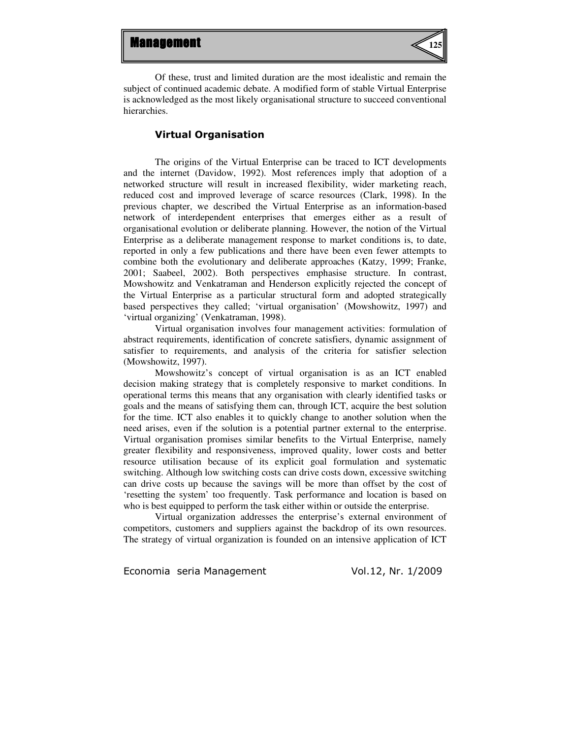

Of these, trust and limited duration are the most idealistic and remain the subject of continued academic debate. A modified form of stable Virtual Enterprise is acknowledged as the most likely organisational structure to succeed conventional hierarchies.

### Virtual Organisation

The origins of the Virtual Enterprise can be traced to ICT developments and the internet (Davidow, 1992). Most references imply that adoption of a networked structure will result in increased flexibility, wider marketing reach, reduced cost and improved leverage of scarce resources (Clark, 1998). In the previous chapter, we described the Virtual Enterprise as an information-based network of interdependent enterprises that emerges either as a result of organisational evolution or deliberate planning. However, the notion of the Virtual Enterprise as a deliberate management response to market conditions is, to date, reported in only a few publications and there have been even fewer attempts to combine both the evolutionary and deliberate approaches (Katzy, 1999; Franke, 2001; Saabeel, 2002). Both perspectives emphasise structure. In contrast, Mowshowitz and Venkatraman and Henderson explicitly rejected the concept of the Virtual Enterprise as a particular structural form and adopted strategically based perspectives they called; 'virtual organisation' (Mowshowitz, 1997) and 'virtual organizing' (Venkatraman, 1998).

Virtual organisation involves four management activities: formulation of abstract requirements, identification of concrete satisfiers, dynamic assignment of satisfier to requirements, and analysis of the criteria for satisfier selection (Mowshowitz, 1997).

Mowshowitz's concept of virtual organisation is as an ICT enabled decision making strategy that is completely responsive to market conditions. In operational terms this means that any organisation with clearly identified tasks or goals and the means of satisfying them can, through ICT, acquire the best solution for the time. ICT also enables it to quickly change to another solution when the need arises, even if the solution is a potential partner external to the enterprise. Virtual organisation promises similar benefits to the Virtual Enterprise, namely greater flexibility and responsiveness, improved quality, lower costs and better resource utilisation because of its explicit goal formulation and systematic switching. Although low switching costs can drive costs down, excessive switching can drive costs up because the savings will be more than offset by the cost of 'resetting the system' too frequently. Task performance and location is based on who is best equipped to perform the task either within or outside the enterprise.

Virtual organization addresses the enterprise's external environment of competitors, customers and suppliers against the backdrop of its own resources. The strategy of virtual organization is founded on an intensive application of ICT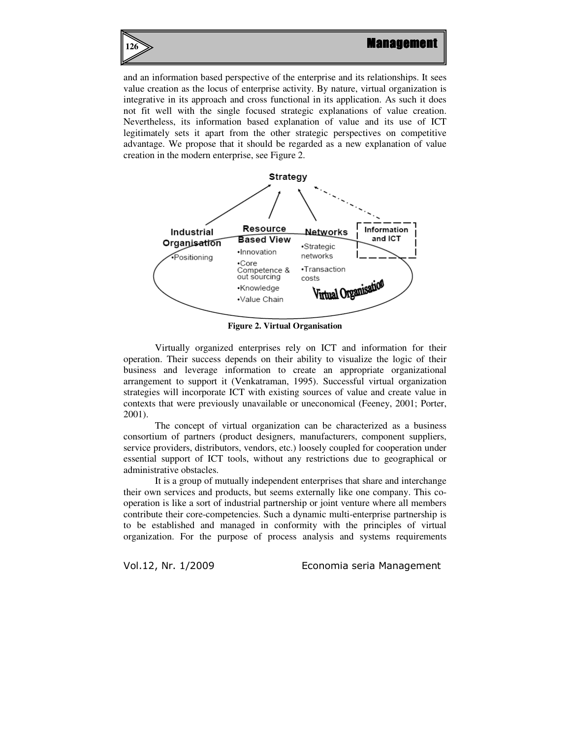

and an information based perspective of the enterprise and its relationships. It sees value creation as the locus of enterprise activity. By nature, virtual organization is integrative in its approach and cross functional in its application. As such it does not fit well with the single focused strategic explanations of value creation. Nevertheless, its information based explanation of value and its use of ICT legitimately sets it apart from the other strategic perspectives on competitive advantage. We propose that it should be regarded as a new explanation of value creation in the modern enterprise, see Figure 2.



**Figure 2. Virtual Organisation** 

Virtually organized enterprises rely on ICT and information for their operation. Their success depends on their ability to visualize the logic of their business and leverage information to create an appropriate organizational arrangement to support it (Venkatraman, 1995). Successful virtual organization strategies will incorporate ICT with existing sources of value and create value in contexts that were previously unavailable or uneconomical (Feeney, 2001; Porter, 2001).

The concept of virtual organization can be characterized as a business consortium of partners (product designers, manufacturers, component suppliers, service providers, distributors, vendors, etc.) loosely coupled for cooperation under essential support of ICT tools, without any restrictions due to geographical or administrative obstacles.

It is a group of mutually independent enterprises that share and interchange their own services and products, but seems externally like one company. This cooperation is like a sort of industrial partnership or joint venture where all members contribute their core-competencies. Such a dynamic multi-enterprise partnership is to be established and managed in conformity with the principles of virtual organization. For the purpose of process analysis and systems requirements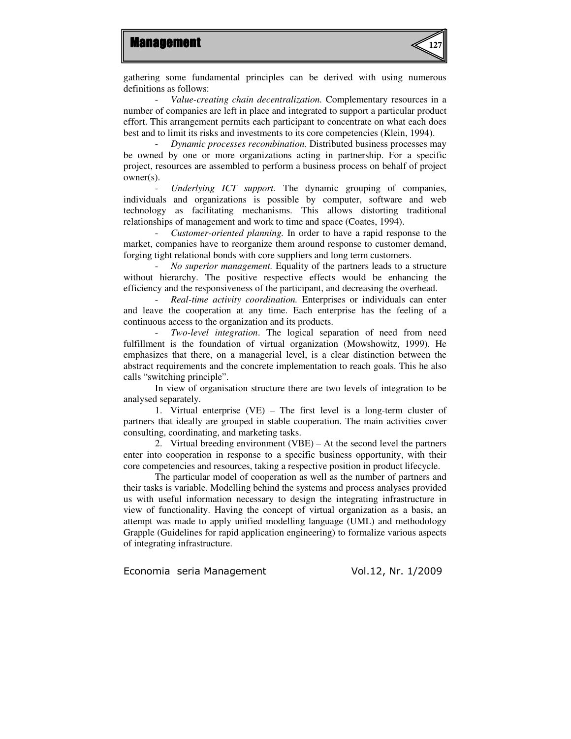

gathering some fundamental principles can be derived with using numerous definitions as follows:

- *Value-creating chain decentralization.* Complementary resources in a number of companies are left in place and integrated to support a particular product effort. This arrangement permits each participant to concentrate on what each does best and to limit its risks and investments to its core competencies (Klein, 1994).

- *Dynamic processes recombination.* Distributed business processes may be owned by one or more organizations acting in partnership. For a specific project, resources are assembled to perform a business process on behalf of project owner(s).

- *Underlying ICT support.* The dynamic grouping of companies, individuals and organizations is possible by computer, software and web technology as facilitating mechanisms. This allows distorting traditional relationships of management and work to time and space (Coates, 1994).

- *Customer-oriented planning.* In order to have a rapid response to the market, companies have to reorganize them around response to customer demand, forging tight relational bonds with core suppliers and long term customers.

- *No superior management.* Equality of the partners leads to a structure without hierarchy. The positive respective effects would be enhancing the efficiency and the responsiveness of the participant, and decreasing the overhead.

- *Real-time activity coordination.* Enterprises or individuals can enter and leave the cooperation at any time. Each enterprise has the feeling of a continuous access to the organization and its products.

- *Two-level integration*. The logical separation of need from need fulfillment is the foundation of virtual organization (Mowshowitz, 1999). He emphasizes that there, on a managerial level, is a clear distinction between the abstract requirements and the concrete implementation to reach goals. This he also calls "switching principle".

In view of organisation structure there are two levels of integration to be analysed separately.

1. Virtual enterprise (VE) *–* The first level is a long-term cluster of partners that ideally are grouped in stable cooperation. The main activities cover consulting, coordinating, and marketing tasks.

2. Virtual breeding environment (VBE) – At the second level the partners enter into cooperation in response to a specific business opportunity, with their core competencies and resources, taking a respective position in product lifecycle.

The particular model of cooperation as well as the number of partners and their tasks is variable. Modelling behind the systems and process analyses provided us with useful information necessary to design the integrating infrastructure in view of functionality. Having the concept of virtual organization as a basis, an attempt was made to apply unified modelling language (UML) and methodology Grapple (Guidelines for rapid application engineering) to formalize various aspects of integrating infrastructure.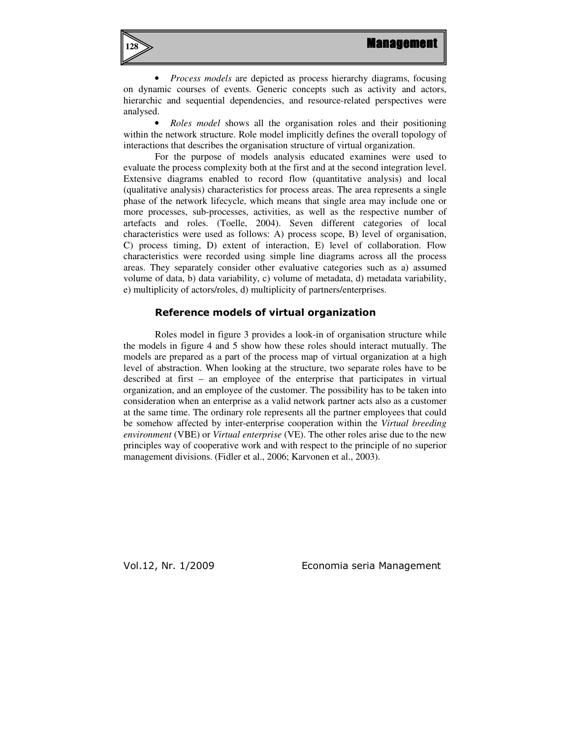

• *Process models* are depicted as process hierarchy diagrams, focusing on dynamic courses of events. Generic concepts such as activity and actors, hierarchic and sequential dependencies, and resource-related perspectives were analysed.

• *Roles model* shows all the organisation roles and their positioning within the network structure. Role model implicitly defines the overall topology of interactions that describes the organisation structure of virtual organization.

For the purpose of models analysis educated examines were used to evaluate the process complexity both at the first and at the second integration level. Extensive diagrams enabled to record flow (quantitative analysis) and local (qualitative analysis) characteristics for process areas. The area represents a single phase of the network lifecycle, which means that single area may include one or more processes, sub-processes, activities, as well as the respective number of artefacts and roles. (Toelle, 2004). Seven different categories of local characteristics were used as follows: A) process scope, B) level of organisation, C) process timing, D) extent of interaction, E) level of collaboration. Flow characteristics were recorded using simple line diagrams across all the process areas. They separately consider other evaluative categories such as a) assumed volume of data, b) data variability, c) volume of metadata, d) metadata variability, e) multiplicity of actors/roles, d) multiplicity of partners/enterprises.

#### Reference models of virtual organization

Roles model in figure 3 provides a look-in of organisation structure while the models in figure 4 and 5 show how these roles should interact mutually. The models are prepared as a part of the process map of virtual organization at a high level of abstraction. When looking at the structure, two separate roles have to be described at first – an employee of the enterprise that participates in virtual organization, and an employee of the customer. The possibility has to be taken into consideration when an enterprise as a valid network partner acts also as a customer at the same time. The ordinary role represents all the partner employees that could be somehow affected by inter-enterprise cooperation within the *Virtual breeding environment* (VBE) or *Virtual enterprise* (VE). The other roles arise due to the new principles way of cooperative work and with respect to the principle of no superior management divisions. (Fidler et al., 2006; Karvonen et al., 2003).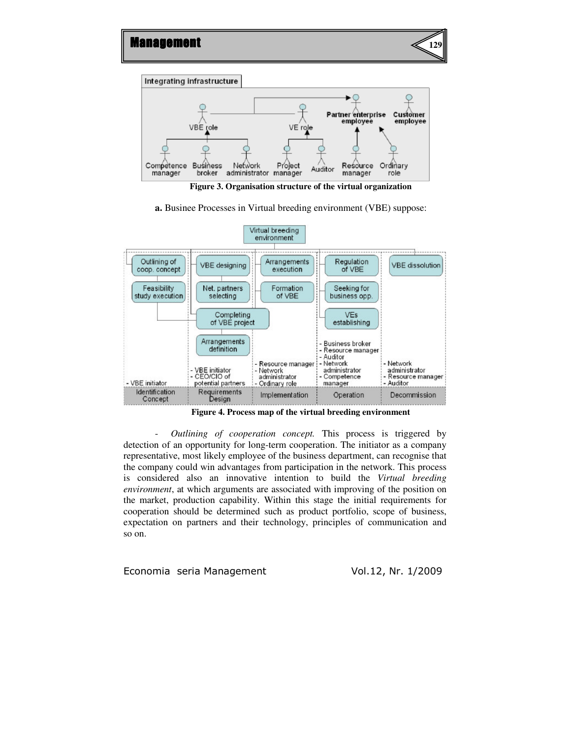

**Figure 3. Organisation structure of the virtual organization**

**a.** Businee Processes in Virtual breeding environment (VBE) suppose:



**Figure 4. Process map of the virtual breeding environment** 

- *Outlining of cooperation concept.* This process is triggered by detection of an opportunity for long-term cooperation. The initiator as a company representative, most likely employee of the business department, can recognise that the company could win advantages from participation in the network. This process is considered also an innovative intention to build the *Virtual breeding environment*, at which arguments are associated with improving of the position on the market, production capability. Within this stage the initial requirements for cooperation should be determined such as product portfolio, scope of business, expectation on partners and their technology, principles of communication and so on.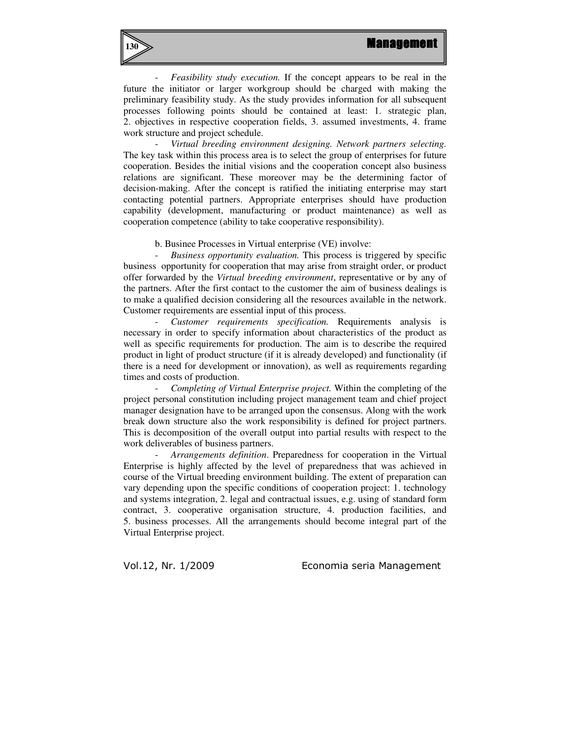

- *Feasibility study execution.* If the concept appears to be real in the future the initiator or larger workgroup should be charged with making the preliminary feasibility study. As the study provides information for all subsequent processes following points should be contained at least: 1. strategic plan, 2. objectives in respective cooperation fields, 3. assumed investments, 4. frame work structure and project schedule.

- *Virtual breeding environment designing. Network partners selecting.*  The key task within this process area is to select the group of enterprises for future cooperation. Besides the initial visions and the cooperation concept also business relations are significant. These moreover may be the determining factor of decision-making. After the concept is ratified the initiating enterprise may start contacting potential partners. Appropriate enterprises should have production capability (development, manufacturing or product maintenance) as well as cooperation competence (ability to take cooperative responsibility).

b. Businee Processes in Virtual enterprise (VE) involve:

- *Business opportunity evaluation.* This process is triggered by specific business opportunity for cooperation that may arise from straight order, or product offer forwarded by the *Virtual breeding environment*, representative or by any of the partners. After the first contact to the customer the aim of business dealings is to make a qualified decision considering all the resources available in the network. Customer requirements are essential input of this process.

- *Customer requirements specification.* Requirements analysis is necessary in order to specify information about characteristics of the product as well as specific requirements for production. The aim is to describe the required product in light of product structure (if it is already developed) and functionality (if there is a need for development or innovation), as well as requirements regarding times and costs of production.

- *Completing of Virtual Enterprise project.* Within the completing of the project personal constitution including project management team and chief project manager designation have to be arranged upon the consensus. Along with the work break down structure also the work responsibility is defined for project partners. This is decomposition of the overall output into partial results with respect to the work deliverables of business partners.

- *Arrangements definition*. Preparedness for cooperation in the Virtual Enterprise is highly affected by the level of preparedness that was achieved in course of the Virtual breeding environment building. The extent of preparation can vary depending upon the specific conditions of cooperation project: 1. technology and systems integration, 2. legal and contractual issues, e.g. using of standard form contract, 3. cooperative organisation structure, 4. production facilities, and 5. business processes. All the arrangements should become integral part of the Virtual Enterprise project.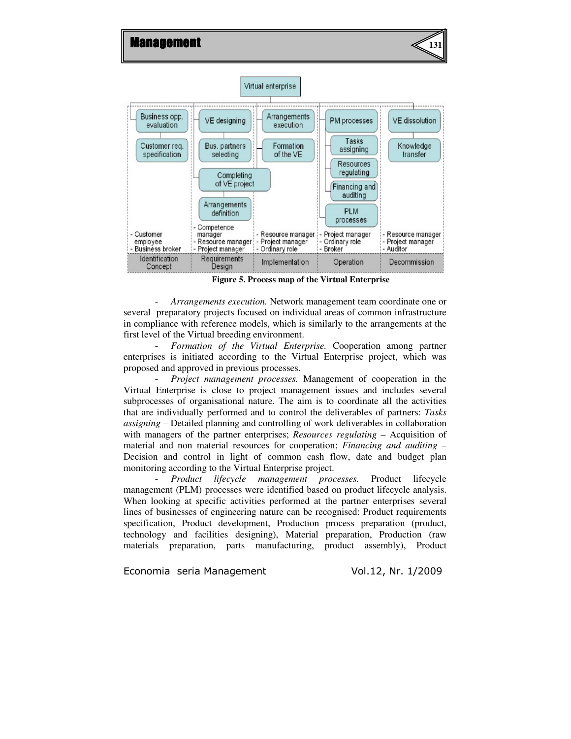

**Figure 5. Process map of the Virtual Enterprise**

- *Arrangements execution.* Network management team coordinate one or several preparatory projects focused on individual areas of common infrastructure in compliance with reference models, which is similarly to the arrangements at the first level of the Virtual breeding environment.

- *Formation of the Virtual Enterprise.* Cooperation among partner enterprises is initiated according to the Virtual Enterprise project, which was proposed and approved in previous processes.

- *Project management processes.* Management of cooperation in the Virtual Enterprise is close to project management issues and includes several subprocesses of organisational nature. The aim is to coordinate all the activities that are individually performed and to control the deliverables of partners: *Tasks assigning* – Detailed planning and controlling of work deliverables in collaboration with managers of the partner enterprises; *Resources regulating* – Acquisition of material and non material resources for cooperation; *Financing and auditing* – Decision and control in light of common cash flow, date and budget plan monitoring according to the Virtual Enterprise project.

- *Product lifecycle management processes.* Product lifecycle management (PLM) processes were identified based on product lifecycle analysis. When looking at specific activities performed at the partner enterprises several lines of businesses of engineering nature can be recognised: Product requirements specification, Product development, Production process preparation (product, technology and facilities designing), Material preparation, Production (raw materials preparation, parts manufacturing, product assembly), Product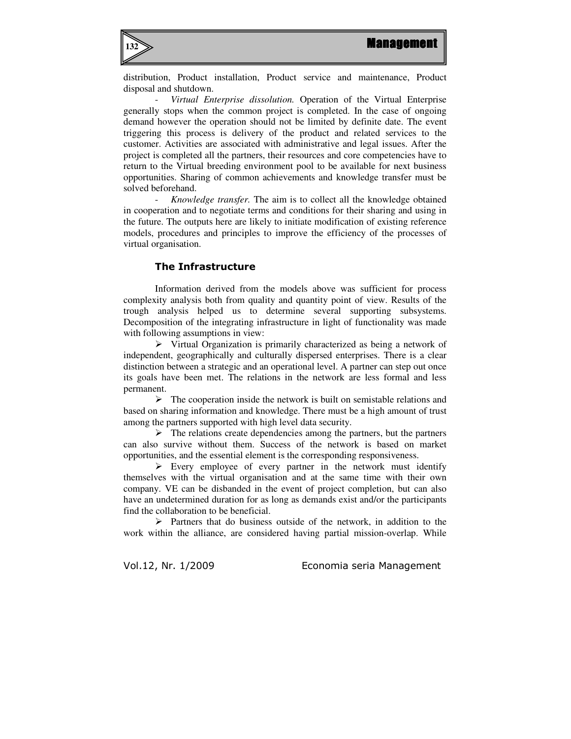

distribution, Product installation, Product service and maintenance, Product disposal and shutdown.

- *Virtual Enterprise dissolution.* Operation of the Virtual Enterprise generally stops when the common project is completed. In the case of ongoing demand however the operation should not be limited by definite date. The event triggering this process is delivery of the product and related services to the customer. Activities are associated with administrative and legal issues. After the project is completed all the partners, their resources and core competencies have to return to the Virtual breeding environment pool to be available for next business opportunities. Sharing of common achievements and knowledge transfer must be solved beforehand.

- *Knowledge transfer.* The aim is to collect all the knowledge obtained in cooperation and to negotiate terms and conditions for their sharing and using in the future. The outputs here are likely to initiate modification of existing reference models, procedures and principles to improve the efficiency of the processes of virtual organisation.

### The Infrastructure

Information derived from the models above was sufficient for process complexity analysis both from quality and quantity point of view. Results of the trough analysis helped us to determine several supporting subsystems. Decomposition of the integrating infrastructure in light of functionality was made with following assumptions in view:

 $\triangleright$  Virtual Organization is primarily characterized as being a network of independent, geographically and culturally dispersed enterprises. There is a clear distinction between a strategic and an operational level. A partner can step out once its goals have been met. The relations in the network are less formal and less permanent.

 $\triangleright$  The cooperation inside the network is built on semistable relations and based on sharing information and knowledge. There must be a high amount of trust among the partners supported with high level data security.

 $\triangleright$  The relations create dependencies among the partners, but the partners can also survive without them. Success of the network is based on market opportunities, and the essential element is the corresponding responsiveness.

 $\triangleright$  Every employee of every partner in the network must identify themselves with the virtual organisation and at the same time with their own company. VE can be disbanded in the event of project completion, but can also have an undetermined duration for as long as demands exist and/or the participants find the collaboration to be beneficial.

 $\triangleright$  Partners that do business outside of the network, in addition to the work within the alliance, are considered having partial mission-overlap. While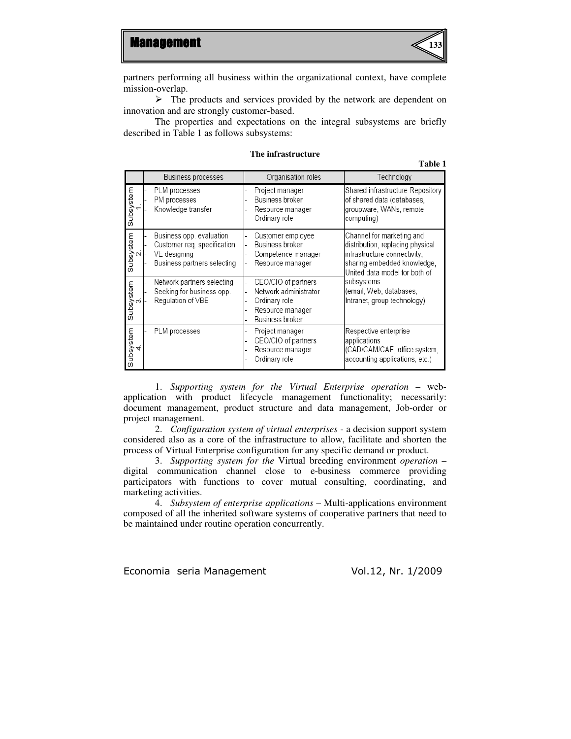

partners performing all business within the organizational context, have complete mission-overlap.

 $\triangleright$  The products and services provided by the network are dependent on innovation and are strongly customer-based.

The properties and expectations on the integral subsystems are briefly described in Table 1 as follows subsystems:

|                             | Business processes                                                                                     | Organisation roles                                                                                   | Technology                                                                                                                                                                                                                             |  |
|-----------------------------|--------------------------------------------------------------------------------------------------------|------------------------------------------------------------------------------------------------------|----------------------------------------------------------------------------------------------------------------------------------------------------------------------------------------------------------------------------------------|--|
| Subsystem                   | PLM processes<br>PM processes<br>Knowledge transfer                                                    | Project manager<br>Business broker<br>Resource manager<br>Ordinary role                              | Shared infrastructure Repository<br>of shared data (databases,<br>groupware, WANs, remote<br>computing)                                                                                                                                |  |
| Subsystem                   | Business opp. evaluation<br>Customer reg. specification<br>VE designing<br>Business partners selecting | Customer employee<br>Business broker<br>Competence manager<br>Resource manager                       | Channel for marketing and<br>distribution, replacing physical<br>infrastructure connectivity.<br>sharing embedded knowledge,<br>United data model for both of<br>subsystems <br>(email, Web, databases,<br>Intranet, group technology) |  |
| Subsystem<br>3.             | Network partners selecting<br>Seeking for business opp.<br>Regulation of VBE                           | CEO/CIO of partners<br>Network administrator<br>Ordinary role<br>Resource manager<br>Business broker |                                                                                                                                                                                                                                        |  |
| Subsystem<br>$\overline{4}$ | PLM processes                                                                                          | Project manager<br>CEO/CIO of partners<br>Resource manager<br>Ordinary role                          | Respective enterprise<br>applications<br>(CAD/CAM/CAE, office system,<br>accounting applications, etc.)                                                                                                                                |  |

#### **The infrastructure**

**Table 1** 

1. *Supporting system for the Virtual Enterprise operation* – webapplication with product lifecycle management functionality; necessarily: document management, product structure and data management, Job-order or project management.

2. *Configuration system of virtual enterprises* - a decision support system considered also as a core of the infrastructure to allow, facilitate and shorten the process of Virtual Enterprise configuration for any specific demand or product.

3. *Supporting system for the* Virtual breeding environment *operation* – digital communication channel close to e-business commerce providing participators with functions to cover mutual consulting, coordinating, and marketing activities.

4. *Subsystem of enterprise applications* – Multi-applications environment composed of all the inherited software systems of cooperative partners that need to be maintained under routine operation concurrently.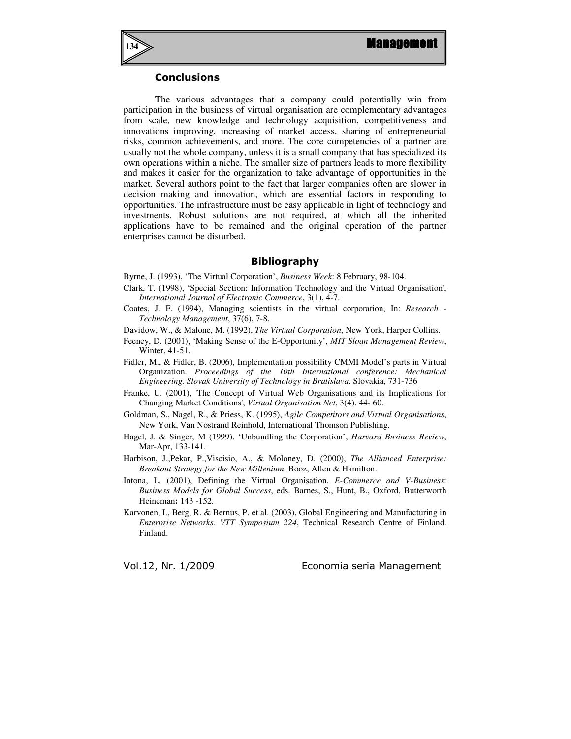

## **Conclusions**

The various advantages that a company could potentially win from participation in the business of virtual organisation are complementary advantages from scale, new knowledge and technology acquisition, competitiveness and innovations improving, increasing of market access, sharing of entrepreneurial risks, common achievements, and more. The core competencies of a partner are usually not the whole company, unless it is a small company that has specialized its own operations within a niche. The smaller size of partners leads to more flexibility and makes it easier for the organization to take advantage of opportunities in the market. Several authors point to the fact that larger companies often are slower in decision making and innovation, which are essential factors in responding to opportunities. The infrastructure must be easy applicable in light of technology and investments. Robust solutions are not required, at which all the inherited applications have to be remained and the original operation of the partner enterprises cannot be disturbed.

## Bibliography

- Byrne, J. (1993), 'The Virtual Corporation', *Business Week*: 8 February, 98-104.
- Clark, T. (1998), 'Special Section: Information Technology and the Virtual Organisation', *International Journal of Electronic Commerce*, 3(1), 4-7.
- Coates, J. F. (1994), Managing scientists in the virtual corporation, In: *Research Technology Management*, 37(6), 7-8.
- Davidow, W., & Malone, M. (1992), *The Virtual Corporation*, New York, Harper Collins.
- Feeney, D. (2001), 'Making Sense of the E-Opportunity', *MIT Sloan Management Review*, Winter, 41-51.
- Fidler, M., & Fidler, B. (2006), Implementation possibility CMMI Model's parts in Virtual Organization. *Proceedings of the 10th International conference: Mechanical Engineering. Slovak University of Technology in Bratislava*. Slovakia, 731-736
- Franke, U. (2001), 'The Concept of Virtual Web Organisations and its Implications for Changing Market Conditions', *Virtual Organisation Net*, 3(4). 44- 60.
- Goldman, S., Nagel, R., & Priess, K. (1995), *Agile Competitors and Virtual Organisations*, New York, Van Nostrand Reinhold, International Thomson Publishing.
- Hagel, J. & Singer, M (1999), 'Unbundling the Corporation', *Harvard Business Review*, Mar-Apr, 133-141.
- Harbison, J.,Pekar, P.,Viscisio, A., & Moloney, D. (2000), *The Allianced Enterprise: Breakout Strategy for the New Millenium*, Booz, Allen & Hamilton.
- Intona, L. (2001), Defining the Virtual Organisation. *E-Commerce and V-Business*: *Business Models for Global Success*, eds. Barnes, S., Hunt, B., Oxford, Butterworth Heineman**:** 143 -152.
- Karvonen, I., Berg, R. & Bernus, P. et al. (2003), Global Engineering and Manufacturing in *Enterprise Networks. VTT Symposium 224*, Technical Research Centre of Finland. Finland.